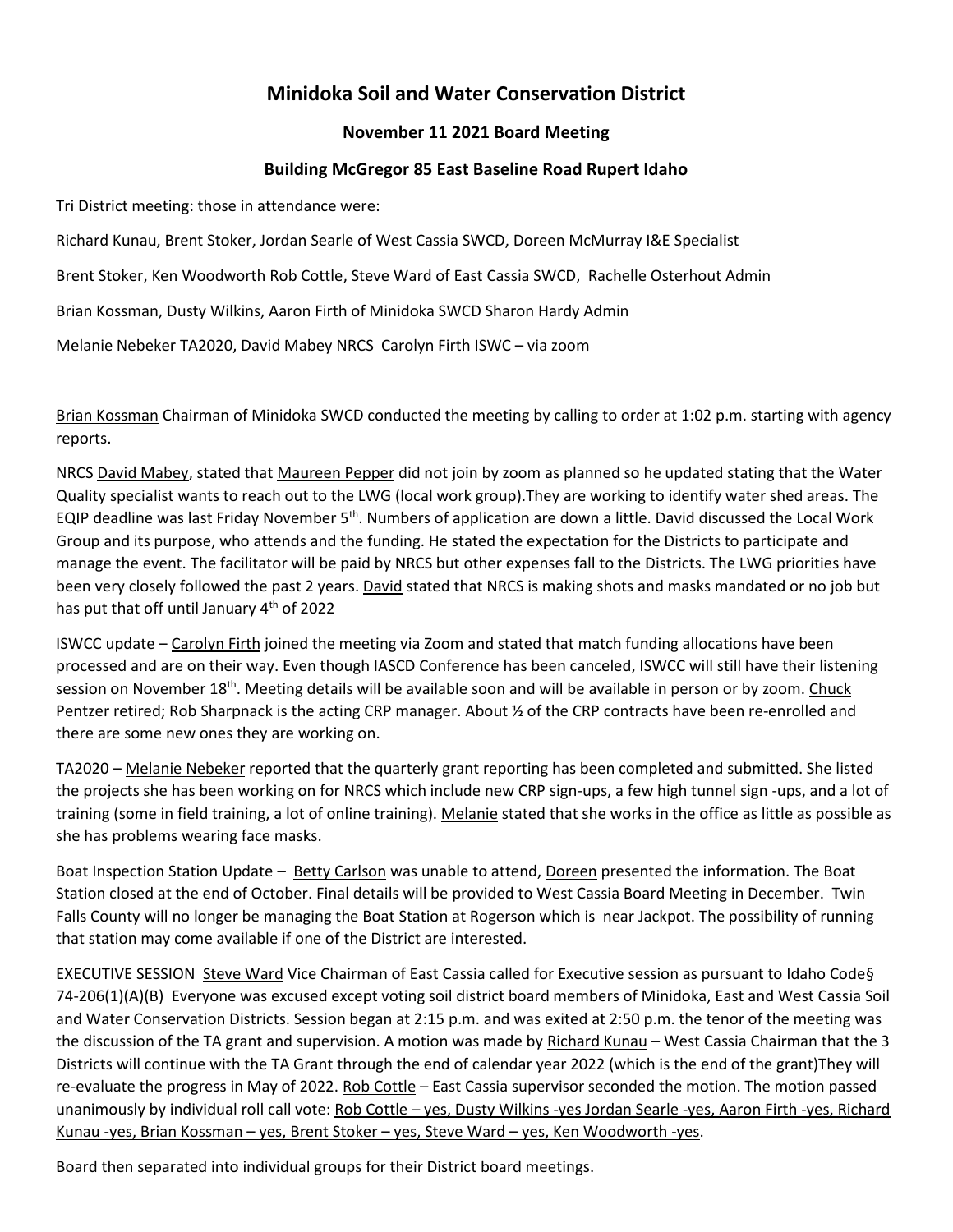## **Minidoka Soil and Water Conservation District**

## **November 11 2021 Board Meeting**

## **Building McGregor 85 East Baseline Road Rupert Idaho**

Tri District meeting: those in attendance were:

Richard Kunau, Brent Stoker, Jordan Searle of West Cassia SWCD, Doreen McMurray I&E Specialist

Brent Stoker, Ken Woodworth Rob Cottle, Steve Ward of East Cassia SWCD, Rachelle Osterhout Admin

Brian Kossman, Dusty Wilkins, Aaron Firth of Minidoka SWCD Sharon Hardy Admin

Melanie Nebeker TA2020, David Mabey NRCS Carolyn Firth ISWC – via zoom

Brian Kossman Chairman of Minidoka SWCD conducted the meeting by calling to order at 1:02 p.m. starting with agency reports.

NRCS David Mabey, stated that Maureen Pepper did not join by zoom as planned so he updated stating that the Water Quality specialist wants to reach out to the LWG (local work group).They are working to identify water shed areas. The EQIP deadline was last Friday November 5th. Numbers of application are down a little. David discussed the Local Work Group and its purpose, who attends and the funding. He stated the expectation for the Districts to participate and manage the event. The facilitator will be paid by NRCS but other expenses fall to the Districts. The LWG priorities have been very closely followed the past 2 years. David stated that NRCS is making shots and masks mandated or no job but has put that off until January 4<sup>th</sup> of 2022

ISWCC update – Carolyn Firth joined the meeting via Zoom and stated that match funding allocations have been processed and are on their way. Even though IASCD Conference has been canceled, ISWCC will still have their listening session on November 18th. Meeting details will be available soon and will be available in person or by zoom. Chuck Pentzer retired; Rob Sharpnack is the acting CRP manager. About ½ of the CRP contracts have been re-enrolled and there are some new ones they are working on.

TA2020 – Melanie Nebeker reported that the quarterly grant reporting has been completed and submitted. She listed the projects she has been working on for NRCS which include new CRP sign-ups, a few high tunnel sign -ups, and a lot of training (some in field training, a lot of online training). Melanie stated that she works in the office as little as possible as she has problems wearing face masks.

Boat Inspection Station Update – Betty Carlson was unable to attend, Doreen presented the information. The Boat Station closed at the end of October. Final details will be provided to West Cassia Board Meeting in December. Twin Falls County will no longer be managing the Boat Station at Rogerson which is near Jackpot. The possibility of running that station may come available if one of the District are interested.

EXECUTIVE SESSION Steve Ward Vice Chairman of East Cassia called for Executive session as pursuant to Idaho Code§ 74-206(1)(A)(B) Everyone was excused except voting soil district board members of Minidoka, East and West Cassia Soil and Water Conservation Districts. Session began at 2:15 p.m. and was exited at 2:50 p.m. the tenor of the meeting was the discussion of the TA grant and supervision. A motion was made by Richard Kunau – West Cassia Chairman that the 3 Districts will continue with the TA Grant through the end of calendar year 2022 (which is the end of the grant)They will re-evaluate the progress in May of 2022. Rob Cottle - East Cassia supervisor seconded the motion. The motion passed unanimously by individual roll call vote: Rob Cottle – yes, Dusty Wilkins -yes Jordan Searle -yes, Aaron Firth -yes, Richard Kunau -yes, Brian Kossman – yes, Brent Stoker – yes, Steve Ward – yes, Ken Woodworth -yes.

Board then separated into individual groups for their District board meetings.